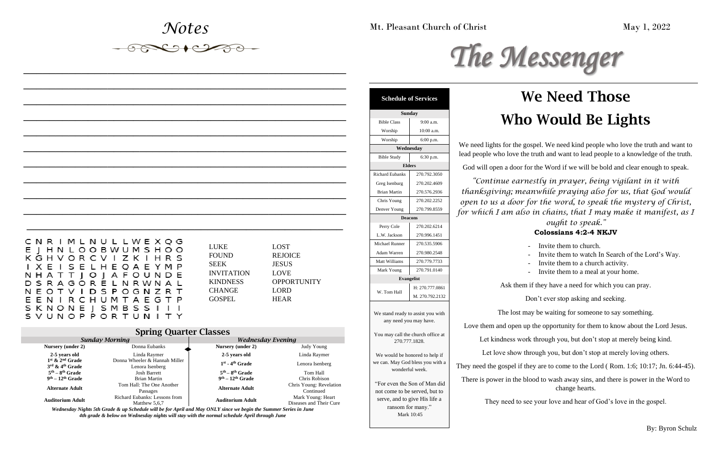*Notes*

*\_\_\_\_\_\_\_\_\_\_\_\_\_\_\_\_\_\_\_\_\_\_\_\_\_\_\_\_\_\_\_\_\_\_\_\_\_\_\_\_\_\_\_\_\_\_\_\_\_\_*

d to wash away sins, and there is power in the Word to change hearts.

your love and hear of God's love in the gospel.

*"Continue earnestly in prayer, being vigilant in it with thanksgiving; meanwhile praying also for us, that God would*  the word, to speak the mystery of Christ, *for which I am also in chains, that I may make it manifest, as I ought to speak."* **Colossians 4:2-4 NKJV**

- Invite them to church.
- Invite them to watch In Search of the Lord's Way.
- Invite them to a church activity.
- Invite them to a meal at your home.

they have a need for which you can pray.

i't ever stop asking and seeking.

be waiting for someone to say something.

ne opportunity for them to know about the Lord Jesus.

hrough you, but don't stop at merely being kind.

ugh you, but don't stop at merely loving others.

are to come to the Lord ( Rom. 1:6; 10:17; Jn. 6:44-45).

## Mt. Pleasant Church of Christ May 1, 2022



# e Need Those **Would Be Lights**

el. We need kind people who love the truth and want to uth and want to lead people to a knowledge of the truth.

the Word if we will be bold and clear enough to speak.

|                                                        |                                                                                                                                                                                                                 |                               |                                              |                        | <b>Schedule of Services</b>                        | $\mathbf W$                  |
|--------------------------------------------------------|-----------------------------------------------------------------------------------------------------------------------------------------------------------------------------------------------------------------|-------------------------------|----------------------------------------------|------------------------|----------------------------------------------------|------------------------------|
|                                                        |                                                                                                                                                                                                                 |                               |                                              | <b>Bible Class</b>     | <b>Sunday</b><br>$9:00$ a.m.                       | <b>Who</b>                   |
|                                                        |                                                                                                                                                                                                                 |                               |                                              | Worship                | $10:00$ a.m.                                       |                              |
|                                                        |                                                                                                                                                                                                                 |                               |                                              | Worship                | 6:00 p.m.                                          |                              |
|                                                        |                                                                                                                                                                                                                 |                               |                                              |                        | Wednesday                                          | We need lights for the gosp  |
|                                                        |                                                                                                                                                                                                                 |                               |                                              | <b>Bible Study</b>     | 6:30 p.m.                                          | lead people who love the tru |
|                                                        |                                                                                                                                                                                                                 |                               |                                              |                        | <b>Elders</b>                                      | God will open a door for the |
|                                                        |                                                                                                                                                                                                                 |                               |                                              | <b>Richard Eubanks</b> | 270.792.3050                                       |                              |
|                                                        |                                                                                                                                                                                                                 |                               |                                              | Greg Isenburg          | 270.202.4609                                       | "Continue earnes             |
|                                                        |                                                                                                                                                                                                                 |                               |                                              | <b>Brian Martin</b>    | 270.576.2936                                       | thanksgiving; mean           |
|                                                        |                                                                                                                                                                                                                 |                               |                                              | Chris Young            | 270.202.2252                                       | open to us a door for        |
|                                                        |                                                                                                                                                                                                                 |                               |                                              | Denver Young           | 270.799.8559                                       | for which I am also in       |
|                                                        |                                                                                                                                                                                                                 |                               |                                              |                        | <b>Deacons</b>                                     |                              |
|                                                        |                                                                                                                                                                                                                 |                               |                                              | Perry Cole             | 270.202.6214                                       |                              |
|                                                        |                                                                                                                                                                                                                 |                               |                                              | L.W. Jackson           | 270.996.1451                                       |                              |
| CNRIMLNULLWEXQG<br>E J H N L O O B W U M S H O O       |                                                                                                                                                                                                                 | <b>LUKE</b>                   | <b>LOST</b>                                  | Michael Runner         | 270.535.5906                                       |                              |
| KGHVORCVIZKIHRS                                        |                                                                                                                                                                                                                 | <b>FOUND</b>                  | <b>REJOICE</b>                               | Adam Warren            | 270.980.2548                                       |                              |
| I X E I S E L H E Q A E Y M P                          |                                                                                                                                                                                                                 | <b>SEEK</b>                   | <b>JESUS</b>                                 | Matt Williams          | 270.779.7733                                       |                              |
| N H A T T J O J A F O U N D E                          |                                                                                                                                                                                                                 | <b>INVITATION</b>             | <b>LOVE</b>                                  | Mark Young             | 270.791.0140                                       |                              |
| DSRAGORELNRWNAL                                        |                                                                                                                                                                                                                 | <b>KINDNESS</b>               | <b>OPPORTUNITY</b>                           |                        | <b>Evangelist</b>                                  | Ask them if t                |
| NEOTVIDSPOGNZRT                                        |                                                                                                                                                                                                                 | <b>CHANGE</b>                 | <b>LORD</b>                                  | W. Tom Hall            | H: 270.777.0861                                    |                              |
| EENIRCHUMTAEGTP                                        |                                                                                                                                                                                                                 | <b>GOSPEL</b>                 | <b>HEAR</b>                                  |                        | M. 270.792.2132                                    | Don                          |
| SKNONE J SMBSS I I I                                   |                                                                                                                                                                                                                 |                               |                                              |                        | We stand ready to assist you with                  | The lost may                 |
| S V U N O P P O R T U N I T Y                          |                                                                                                                                                                                                                 |                               |                                              |                        | any need you may have.                             |                              |
|                                                        |                                                                                                                                                                                                                 |                               |                                              |                        |                                                    | Love them and open up the    |
| <b>Spring Quarter Classes</b><br><b>Sunday Morning</b> |                                                                                                                                                                                                                 |                               | <b>Wednesday Evening</b>                     |                        | You may call the church office at                  | Let kindness work tl         |
| Nursery (under 2)                                      | Donna Eubanks                                                                                                                                                                                                   | Nursery (under 2)             | Judy Young                                   |                        | 270.777.1828.                                      |                              |
| 2-5 years old                                          | Linda Raymer                                                                                                                                                                                                    | 2-5 years old                 | Linda Raymer                                 |                        | We would be honored to help if                     | Let love show throu          |
| $1st$ & $2nd$ Grade<br>3rd & 4th Grade                 | Donna Wheeler & Hannah Miller<br>Lenora Isenberg                                                                                                                                                                | $1st$ - 4 <sup>th</sup> Grade | Lenora Isenberg                              |                        | we can. May God bless you with a                   | They need the gospel if they |
| $5th - 8th$ Grade                                      | <b>Josh Barrett</b>                                                                                                                                                                                             | $5th - 8th$ Grade             | Tom Hall                                     |                        | wonderful week.                                    |                              |
| $9th - 12th$ Grade                                     | <b>Brian Martin</b><br>Tom Hall: The One Another                                                                                                                                                                | $9th - 12th$ Grade            | Chris Robison<br>Chris Young: Revelation     |                        | "For even the Son of Man did                       | There is power in the blood  |
| <b>Alternate Adult</b>                                 | Passages                                                                                                                                                                                                        | <b>Alternate Adult</b>        | Continued                                    |                        | not come to be served, but to                      |                              |
| <b>Auditorium Adult</b>                                | Richard Eubanks: Lessons from<br>Matthew 5,6,7                                                                                                                                                                  | <b>Auditorium Adult</b>       | Mark Young: Heart<br>Diseases and Their Cure |                        | serve, and to give His life a<br>ransom for many." | They need to see y           |
|                                                        | Wednesday Nights 5th Grade & up Schedule will be for April and May ONLY since we begin the Summer Series in June<br>4th grade & below on Wednesday nights will stay with the normal schedule April through June |                               |                                              |                        | Mark 10:45                                         |                              |

| LUKE              |
|-------------------|
| <b>FOUND</b>      |
| SEEK              |
| <b>INVITATION</b> |
| <b>KINDNESS</b>   |
| CHANGE            |
| GOSPEL            |
|                   |

| <b>Spring Quarter Classes</b>                                                                                    |                               |                               |                         |  |
|------------------------------------------------------------------------------------------------------------------|-------------------------------|-------------------------------|-------------------------|--|
| <b>Sunday Morning</b>                                                                                            |                               | <b>Wednesday Evening</b>      |                         |  |
| Nursery (under 2)                                                                                                | Donna Eubanks                 | Nursery (under 2)             | Judy Young              |  |
| 2-5 years old                                                                                                    | Linda Raymer                  | 2-5 years old                 | Linda Raymer            |  |
| $1st$ & $2nd$ Grade                                                                                              | Donna Wheeler & Hannah Miller | $1st$ - 4 <sup>th</sup> Grade | Lenora Isenberg         |  |
| $3^{\text{rd}}$ & $4^{\text{th}}$ Grade                                                                          | Lenora Isenberg               |                               |                         |  |
| $5th - 8th$ Grade                                                                                                | <b>Josh Barrett</b>           | $5th - 8th$ Grade             | Tom Hall                |  |
| $9th - 12th$ Grade                                                                                               | Brian Martin                  | $9th - 12th$ Grade            | Chris Robison           |  |
| <b>Alternate Adult</b>                                                                                           | Tom Hall: The One Another     | <b>Alternate Adult</b>        | Chris Young: Revelation |  |
|                                                                                                                  | Passages                      |                               | Continued               |  |
| <b>Auditorium Adult</b>                                                                                          | Richard Eubanks: Lessons from | <b>Auditorium Adult</b>       | Mark Young: Heart       |  |
|                                                                                                                  | Matthew 5,6,7                 |                               | Diseases and Their Cure |  |
| Wednesday Nights 5th Grade & up Schedule will be for April and May ONLY since we begin the Summer Series in June |                               |                               |                         |  |